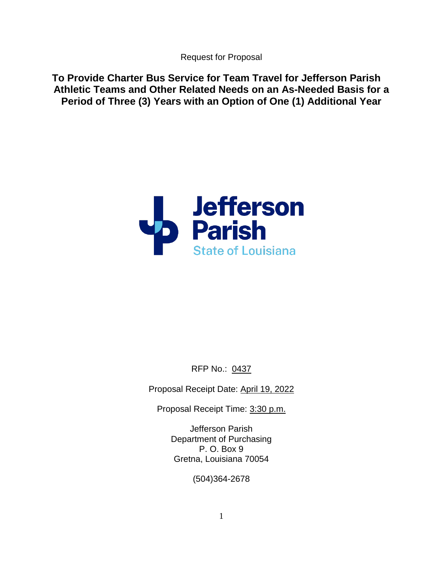Request for Proposal

**To Provide Charter Bus Service for Team Travel for Jefferson Parish Athletic Teams and Other Related Needs on an As-Needed Basis for a Period of Three (3) Years with an Option of One (1) Additional Year** 



RFP No.: 0437

Proposal Receipt Date: April 19, 2022

Proposal Receipt Time: 3:30 p.m.

Jefferson Parish Department of Purchasing P. O. Box 9 Gretna, Louisiana 70054

(504)364-2678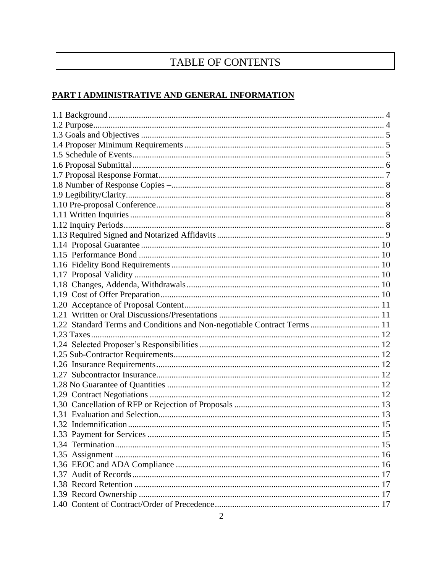# TABLE OF CONTENTS

## PART I ADMINISTRATIVE AND GENERAL INFORMATION

| 1.22 Standard Terms and Conditions and Non-negotiable Contract Terms  11 |  |
|--------------------------------------------------------------------------|--|
|                                                                          |  |
|                                                                          |  |
|                                                                          |  |
|                                                                          |  |
|                                                                          |  |
|                                                                          |  |
|                                                                          |  |
|                                                                          |  |
|                                                                          |  |
|                                                                          |  |
| 1.33 Payment for Services                                                |  |
|                                                                          |  |
|                                                                          |  |
|                                                                          |  |
|                                                                          |  |
|                                                                          |  |
|                                                                          |  |
|                                                                          |  |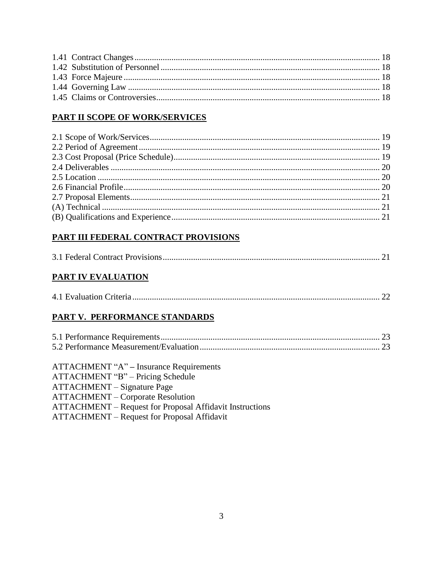# PART II SCOPE OF WORK/SERVICES

# PART III FEDERAL CONTRACT PROVISIONS

# **PART IV EVALUATION**

|--|--|--|--|

# PART V. PERFORMANCE STANDARDS

| <b>ATTACHMENT "A" – Insurance Requirements</b>                  |  |
|-----------------------------------------------------------------|--|
| ATTACHMENT "B" – Pricing Schedule                               |  |
| <b>ATTACHMENT</b> – Signature Page                              |  |
| <b>ATTACHMENT</b> – Corporate Resolution                        |  |
| <b>ATTACHMENT</b> – Request for Proposal Affidavit Instructions |  |
| <b>ATTACHMENT</b> – Request for Proposal Affidavit              |  |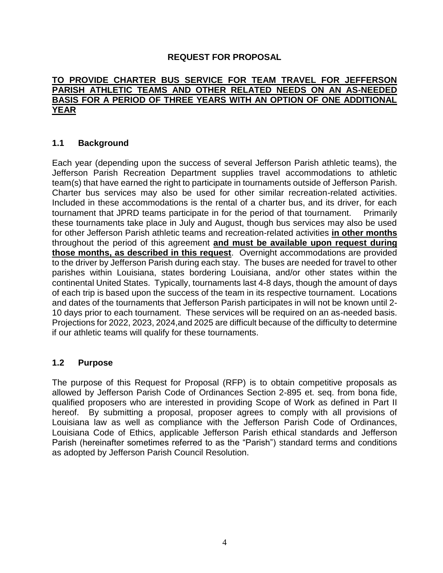#### **REQUEST FOR PROPOSAL**

#### **TO PROVIDE CHARTER BUS SERVICE FOR TEAM TRAVEL FOR JEFFERSON PARISH ATHLETIC TEAMS AND OTHER RELATED NEEDS ON AN AS-NEEDED BASIS FOR A PERIOD OF THREE YEARS WITH AN OPTION OF ONE ADDITIONAL YEAR**

#### <span id="page-3-0"></span>**1.1 Background**

Each year (depending upon the success of several Jefferson Parish athletic teams), the Jefferson Parish Recreation Department supplies travel accommodations to athletic team(s) that have earned the right to participate in tournaments outside of Jefferson Parish. Charter bus services may also be used for other similar recreation-related activities. Included in these accommodations is the rental of a charter bus, and its driver, for each tournament that JPRD teams participate in for the period of that tournament. Primarily these tournaments take place in July and August, though bus services may also be used for other Jefferson Parish athletic teams and recreation-related activities **in other months** throughout the period of this agreement **and must be available upon request during those months, as described in this request**. Overnight accommodations are provided to the driver by Jefferson Parish during each stay. The buses are needed for travel to other parishes within Louisiana, states bordering Louisiana, and/or other states within the continental United States. Typically, tournaments last 4-8 days, though the amount of days of each trip is based upon the success of the team in its respective tournament. Locations and dates of the tournaments that Jefferson Parish participates in will not be known until 2- 10 days prior to each tournament. These services will be required on an as-needed basis. Projections for 2022, 2023, 2024,and 2025 are difficult because of the difficulty to determine if our athletic teams will qualify for these tournaments.

#### <span id="page-3-1"></span>**1.2 Purpose**

The purpose of this Request for Proposal (RFP) is to obtain competitive proposals as allowed by Jefferson Parish Code of Ordinances Section 2-895 et. seq. from bona fide, qualified proposers who are interested in providing Scope of Work as defined in Part II hereof. By submitting a proposal, proposer agrees to comply with all provisions of Louisiana law as well as compliance with the Jefferson Parish Code of Ordinances, Louisiana Code of Ethics, applicable Jefferson Parish ethical standards and Jefferson Parish (hereinafter sometimes referred to as the "Parish") standard terms and conditions as adopted by Jefferson Parish Council Resolution.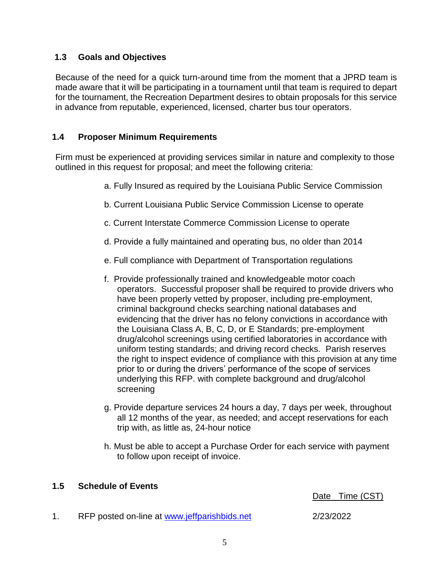#### <span id="page-4-0"></span>**1.3 Goals and Objectives**

Because of the need for a quick turn-around time from the moment that a JPRD team is made aware that it will be participating in a tournament until that team is required to depart for the tournament, the Recreation Department desires to obtain proposals for this service in advance from reputable, experienced, licensed, charter bus tour operators.

#### <span id="page-4-1"></span>**1.4 Proposer Minimum Requirements**

Firm must be experienced at providing services similar in nature and complexity to those outlined in this request for proposal; and meet the following criteria:

- a. Fully Insured as required by the Louisiana Public Service Commission
- b. Current Louisiana Public Service Commission License to operate
- c. Current Interstate Commerce Commission License to operate
- d. Provide a fully maintained and operating bus, no older than 2014
- e. Full compliance with Department of Transportation regulations
- f. Provide professionally trained and knowledgeable motor coach operators. Successful proposer shall be required to provide drivers who have been properly vetted by proposer, including pre-employment, criminal background checks searching national databases and evidencing that the driver has no felony convictions in accordance with the Louisiana Class A, B, C, D, or E Standards; pre-employment drug/alcohol screenings using certified laboratories in accordance with uniform testing standards; and driving record checks. Parish reserves the right to inspect evidence of compliance with this provision at any time prior to or during the drivers' performance of the scope of services underlying this RFP. with complete background and drug/alcohol screening
- g. Provide departure services 24 hours a day, 7 days per week, throughout all 12 months of the year, as needed; and accept reservations for each trip with, as little as, 24-hour notice
- h. Must be able to accept a Purchase Order for each service with payment to follow upon receipt of invoice.

#### <span id="page-4-2"></span>**1.5 Schedule of Events**

Date Time (CST)

1. RFP posted on-line at [www.jeffparishbids.net](http://www.jeffparishbids.net/) 2/23/2022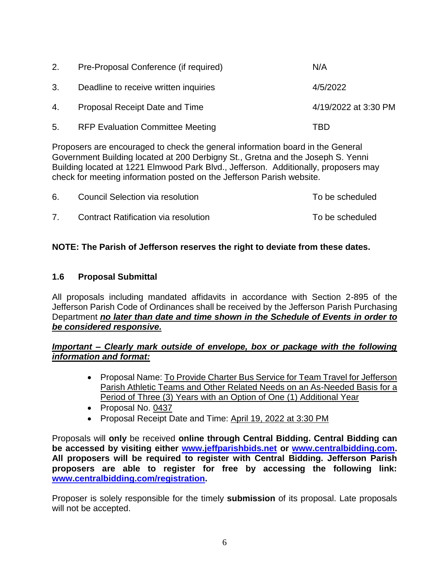| 2. | Pre-Proposal Conference (if required)   | N/A                  |
|----|-----------------------------------------|----------------------|
| 3. | Deadline to receive written inquiries   | 4/5/2022             |
| 4. | Proposal Receipt Date and Time          | 4/19/2022 at 3:30 PM |
| 5. | <b>RFP Evaluation Committee Meeting</b> | TBD                  |

Proposers are encouraged to check the general information board in the General Government Building located at 200 Derbigny St., Gretna and the Joseph S. Yenni Building located at 1221 Elmwood Park Blvd., Jefferson. Additionally, proposers may check for meeting information posted on the Jefferson Parish website.

| 6. | Council Selection via resolution     | To be scheduled |
|----|--------------------------------------|-----------------|
|    | Contract Ratification via resolution | To be scheduled |

## **NOTE: The Parish of Jefferson reserves the right to deviate from these dates.**

#### <span id="page-5-0"></span>**1.6 Proposal Submittal**

All proposals including mandated affidavits in accordance with Section 2-895 of the Jefferson Parish Code of Ordinances shall be received by the Jefferson Parish Purchasing Department *no later than date and time shown in the Schedule of Events in order to be considered responsive.*

#### *Important – Clearly mark outside of envelope, box or package with the following information and format:*

- Proposal Name: To Provide Charter Bus Service for Team Travel for Jefferson Parish Athletic Teams and Other Related Needs on an As-Needed Basis for a Period of Three (3) Years with an Option of One (1) Additional Year
- Proposal No. 0437
- Proposal Receipt Date and Time: April 19, 2022 at 3:30 PM

Proposals will **only** be received **online through Central Bidding. Central Bidding can be accessed by visiting either [www.jeffparishbids.net](http://www.jeffparishbids.net/) or [www.centralbidding.com.](http://www.centralbidding.com/) All proposers will be required to register with Central Bidding. Jefferson Parish proposers are able to register for free by accessing the following link: [www.centralbidding.com/registration.](http://www.centralbidding.com/registration)**

Proposer is solely responsible for the timely **submission** of its proposal. Late proposals will not be accepted.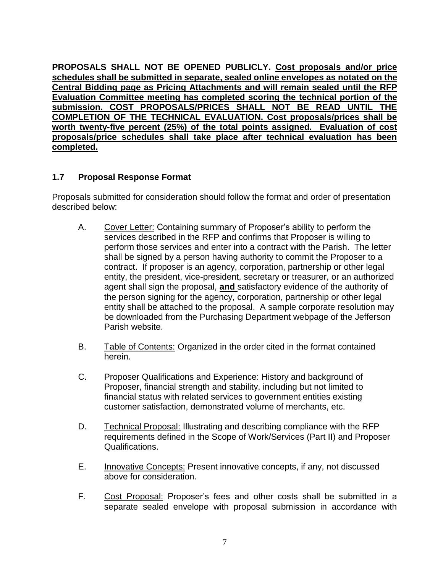**PROPOSALS SHALL NOT BE OPENED PUBLICLY. Cost proposals and/or price schedules shall be submitted in separate, sealed online envelopes as notated on the Central Bidding page as Pricing Attachments and will remain sealed until the RFP Evaluation Committee meeting has completed scoring the technical portion of the submission. COST PROPOSALS/PRICES SHALL NOT BE READ UNTIL THE COMPLETION OF THE TECHNICAL EVALUATION. Cost proposals/prices shall be worth twenty-five percent (25%) of the total points assigned. Evaluation of cost proposals/price schedules shall take place after technical evaluation has been completed.**

#### <span id="page-6-0"></span>**1.7 Proposal Response Format**

Proposals submitted for consideration should follow the format and order of presentation described below:

- A. Cover Letter: Containing summary of Proposer's ability to perform the services described in the RFP and confirms that Proposer is willing to perform those services and enter into a contract with the Parish. The letter shall be signed by a person having authority to commit the Proposer to a contract. If proposer is an agency, corporation, partnership or other legal entity, the president, vice-president, secretary or treasurer, or an authorized agent shall sign the proposal, **and** satisfactory evidence of the authority of the person signing for the agency, corporation, partnership or other legal entity shall be attached to the proposal. A sample corporate resolution may be downloaded from the Purchasing Department webpage of the Jefferson Parish website.
- B. Table of Contents: Organized in the order cited in the format contained herein.
- C. Proposer Qualifications and Experience: History and background of Proposer, financial strength and stability, including but not limited to financial status with related services to government entities existing customer satisfaction, demonstrated volume of merchants, etc.
- D. Technical Proposal: Illustrating and describing compliance with the RFP requirements defined in the Scope of Work/Services (Part II) and Proposer Qualifications.
- E. Innovative Concepts: Present innovative concepts, if any, not discussed above for consideration.
- F. Cost Proposal: Proposer's fees and other costs shall be submitted in a separate sealed envelope with proposal submission in accordance with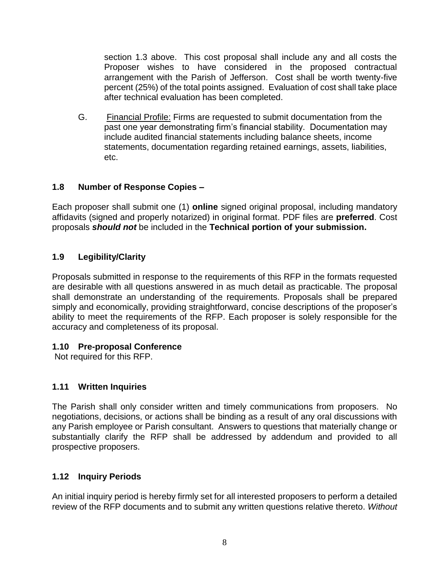section 1.3 above. This cost proposal shall include any and all costs the Proposer wishes to have considered in the proposed contractual arrangement with the Parish of Jefferson. Cost shall be worth twenty-five percent (25%) of the total points assigned. Evaluation of cost shall take place after technical evaluation has been completed.

G. Financial Profile: Firms are requested to submit documentation from the past one year demonstrating firm's financial stability. Documentation may include audited financial statements including balance sheets, income statements, documentation regarding retained earnings, assets, liabilities, etc.

#### <span id="page-7-0"></span>**1.8 Number of Response Copies –**

Each proposer shall submit one (1) **online** signed original proposal, including mandatory affidavits (signed and properly notarized) in original format. PDF files are **preferred**. Cost proposals *should not* be included in the **Technical portion of your submission.**

# <span id="page-7-1"></span>**1.9 Legibility/Clarity**

Proposals submitted in response to the requirements of this RFP in the formats requested are desirable with all questions answered in as much detail as practicable. The proposal shall demonstrate an understanding of the requirements. Proposals shall be prepared simply and economically, providing straightforward, concise descriptions of the proposer's ability to meet the requirements of the RFP. Each proposer is solely responsible for the accuracy and completeness of its proposal.

#### <span id="page-7-2"></span>**1.10 Pre-proposal Conference**

Not required for this RFP.

#### <span id="page-7-3"></span>**1.11 Written Inquiries**

The Parish shall only consider written and timely communications from proposers. No negotiations, decisions, or actions shall be binding as a result of any oral discussions with any Parish employee or Parish consultant. Answers to questions that materially change or substantially clarify the RFP shall be addressed by addendum and provided to all prospective proposers.

# <span id="page-7-4"></span>**1.12 Inquiry Periods**

An initial inquiry period is hereby firmly set for all interested proposers to perform a detailed review of the RFP documents and to submit any written questions relative thereto. *Without*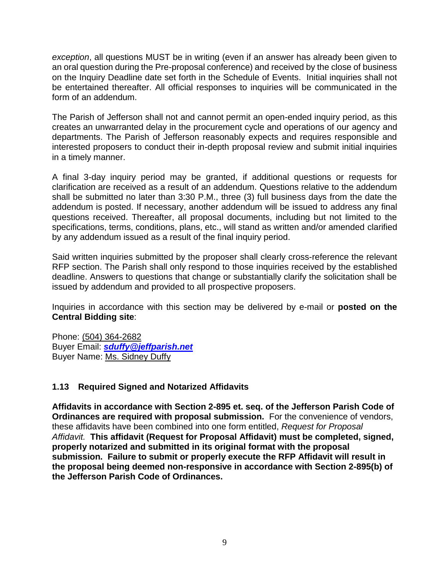*exception*, all questions MUST be in writing (even if an answer has already been given to an oral question during the Pre-proposal conference) and received by the close of business on the Inquiry Deadline date set forth in the Schedule of Events. Initial inquiries shall not be entertained thereafter. All official responses to inquiries will be communicated in the form of an addendum.

The Parish of Jefferson shall not and cannot permit an open-ended inquiry period, as this creates an unwarranted delay in the procurement cycle and operations of our agency and departments. The Parish of Jefferson reasonably expects and requires responsible and interested proposers to conduct their in-depth proposal review and submit initial inquiries in a timely manner.

A final 3-day inquiry period may be granted, if additional questions or requests for clarification are received as a result of an addendum. Questions relative to the addendum shall be submitted no later than 3:30 P.M., three (3) full business days from the date the addendum is posted. If necessary, another addendum will be issued to address any final questions received. Thereafter, all proposal documents, including but not limited to the specifications, terms, conditions, plans, etc., will stand as written and/or amended clarified by any addendum issued as a result of the final inquiry period.

Said written inquiries submitted by the proposer shall clearly cross-reference the relevant RFP section. The Parish shall only respond to those inquiries received by the established deadline. Answers to questions that change or substantially clarify the solicitation shall be issued by addendum and provided to all prospective proposers.

Inquiries in accordance with this section may be delivered by e-mail or **posted on the Central Bidding site**:

Phone: (504) 364-2682 Buyer Email: *[sduffy@jeffparish.net](mailto:sduffy@jeffparish.net)* Buyer Name: Ms. Sidney Duffy

#### <span id="page-8-0"></span>**1.13 Required Signed and Notarized Affidavits**

**Affidavits in accordance with Section 2-895 et. seq. of the Jefferson Parish Code of Ordinances are required with proposal submission.** For the convenience of vendors, these affidavits have been combined into one form entitled, *Request for Proposal Affidavit.* **This affidavit (Request for Proposal Affidavit) must be completed, signed, properly notarized and submitted in its original format with the proposal submission. Failure to submit or properly execute the RFP Affidavit will result in the proposal being deemed non-responsive in accordance with Section 2-895(b) of the Jefferson Parish Code of Ordinances.**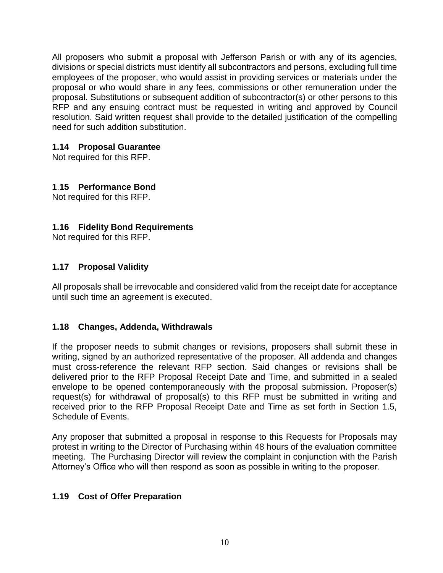All proposers who submit a proposal with Jefferson Parish or with any of its agencies, divisions or special districts must identify all subcontractors and persons, excluding full time employees of the proposer, who would assist in providing services or materials under the proposal or who would share in any fees, commissions or other remuneration under the proposal. Substitutions or subsequent addition of subcontractor(s) or other persons to this RFP and any ensuing contract must be requested in writing and approved by Council resolution. Said written request shall provide to the detailed justification of the compelling need for such addition substitution.

#### <span id="page-9-0"></span>**1.14 Proposal Guarantee**

Not required for this RFP.

#### <span id="page-9-1"></span>**1**.**15 Performance Bond**

Not required for this RFP.

#### <span id="page-9-2"></span>**1.16 Fidelity Bond Requirements**

Not required for this RFP.

#### <span id="page-9-3"></span>**1.17 Proposal Validity**

All proposals shall be irrevocable and considered valid from the receipt date for acceptance until such time an agreement is executed.

#### <span id="page-9-4"></span>**1.18 Changes, Addenda, Withdrawals**

If the proposer needs to submit changes or revisions, proposers shall submit these in writing, signed by an authorized representative of the proposer. All addenda and changes must cross-reference the relevant RFP section. Said changes or revisions shall be delivered prior to the RFP Proposal Receipt Date and Time, and submitted in a sealed envelope to be opened contemporaneously with the proposal submission. Proposer(s) request(s) for withdrawal of proposal(s) to this RFP must be submitted in writing and received prior to the RFP Proposal Receipt Date and Time as set forth in Section 1.5, Schedule of Events.

Any proposer that submitted a proposal in response to this Requests for Proposals may protest in writing to the Director of Purchasing within 48 hours of the evaluation committee meeting. The Purchasing Director will review the complaint in conjunction with the Parish Attorney's Office who will then respond as soon as possible in writing to the proposer.

#### <span id="page-9-5"></span>**1.19 Cost of Offer Preparation**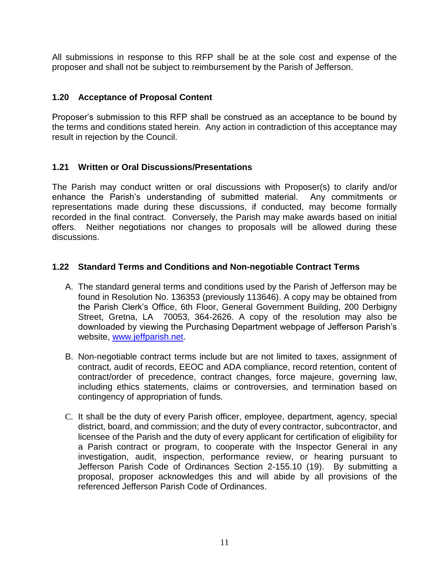All submissions in response to this RFP shall be at the sole cost and expense of the proposer and shall not be subject to reimbursement by the Parish of Jefferson.

#### <span id="page-10-0"></span>**1.20 Acceptance of Proposal Content**

Proposer's submission to this RFP shall be construed as an acceptance to be bound by the terms and conditions stated herein. Any action in contradiction of this acceptance may result in rejection by the Council.

#### <span id="page-10-1"></span>**1.21 Written or Oral Discussions/Presentations**

The Parish may conduct written or oral discussions with Proposer(s) to clarify and/or enhance the Parish's understanding of submitted material. Any commitments or representations made during these discussions, if conducted, may become formally recorded in the final contract. Conversely, the Parish may make awards based on initial offers. Neither negotiations nor changes to proposals will be allowed during these discussions.

#### <span id="page-10-2"></span>**1.22 Standard Terms and Conditions and Non-negotiable Contract Terms**

- A. The standard general terms and conditions used by the Parish of Jefferson may be found in Resolution No. 136353 (previously 113646). A copy may be obtained from the Parish Clerk's Office, 6th Floor, General Government Building, 200 Derbigny Street, Gretna, LA 70053, 364-2626. A copy of the resolution may also be downloaded by viewing the Purchasing Department webpage of Jefferson Parish's website, [www.jeffparish.net.](http://www.jeffparish.net/)
- B. Non-negotiable contract terms include but are not limited to taxes, assignment of contract, audit of records, EEOC and ADA compliance, record retention, content of contract/order of precedence, contract changes, force majeure, governing law, including ethics statements, claims or controversies, and termination based on contingency of appropriation of funds.
- C. It shall be the duty of every Parish officer, employee, department, agency, special district, board, and commission; and the duty of every contractor, subcontractor, and licensee of the Parish and the duty of every applicant for certification of eligibility for a Parish contract or program, to cooperate with the Inspector General in any investigation, audit, inspection, performance review, or hearing pursuant to Jefferson Parish Code of Ordinances Section 2-155.10 (19). By submitting a proposal, proposer acknowledges this and will abide by all provisions of the referenced Jefferson Parish Code of Ordinances.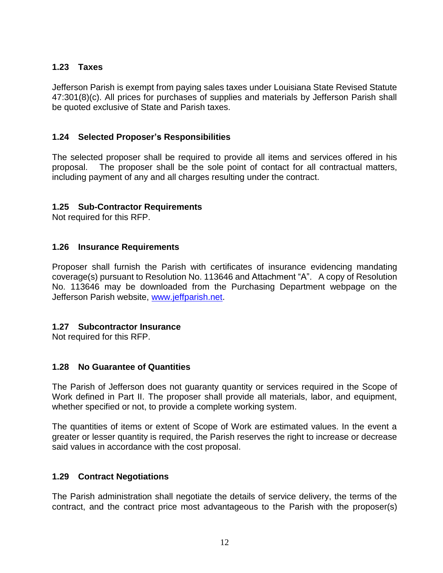## <span id="page-11-0"></span>**1.23 Taxes**

Jefferson Parish is exempt from paying sales taxes under Louisiana State Revised Statute 47:301(8)(c). All prices for purchases of supplies and materials by Jefferson Parish shall be quoted exclusive of State and Parish taxes.

#### <span id="page-11-1"></span>**1.24 Selected Proposer's Responsibilities**

The selected proposer shall be required to provide all items and services offered in his proposal. The proposer shall be the sole point of contact for all contractual matters, including payment of any and all charges resulting under the contract.

#### <span id="page-11-2"></span>**1.25 Sub-Contractor Requirements**

Not required for this RFP.

#### <span id="page-11-3"></span>**1.26 Insurance Requirements**

Proposer shall furnish the Parish with certificates of insurance evidencing mandating coverage(s) pursuant to Resolution No. 113646 and Attachment "A". A copy of Resolution No. 113646 may be downloaded from the Purchasing Department webpage on the Jefferson Parish website, [www.jeffparish.net.](http://www.jeffparish.net/)

#### <span id="page-11-4"></span>**1.27 Subcontractor Insurance**

Not required for this RFP.

#### <span id="page-11-5"></span>**1.28 No Guarantee of Quantities**

The Parish of Jefferson does not guaranty quantity or services required in the Scope of Work defined in Part II. The proposer shall provide all materials, labor, and equipment, whether specified or not, to provide a complete working system.

The quantities of items or extent of Scope of Work are estimated values. In the event a greater or lesser quantity is required, the Parish reserves the right to increase or decrease said values in accordance with the cost proposal.

#### <span id="page-11-6"></span>**1.29 Contract Negotiations**

The Parish administration shall negotiate the details of service delivery, the terms of the contract, and the contract price most advantageous to the Parish with the proposer(s)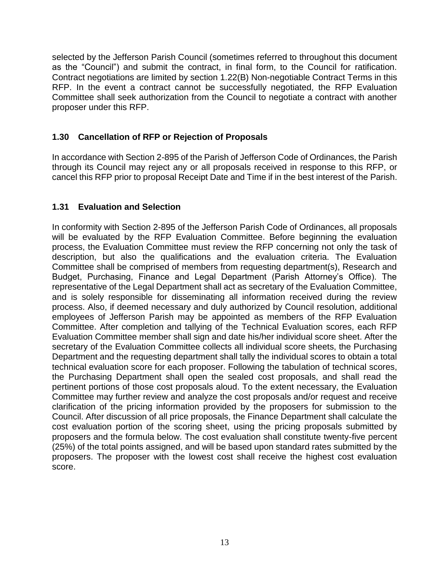selected by the Jefferson Parish Council (sometimes referred to throughout this document as the "Council") and submit the contract, in final form, to the Council for ratification. Contract negotiations are limited by section 1.22(B) Non-negotiable Contract Terms in this RFP. In the event a contract cannot be successfully negotiated, the RFP Evaluation Committee shall seek authorization from the Council to negotiate a contract with another proposer under this RFP.

## <span id="page-12-0"></span>**1.30 Cancellation of RFP or Rejection of Proposals**

In accordance with Section 2-895 of the Parish of Jefferson Code of Ordinances, the Parish through its Council may reject any or all proposals received in response to this RFP, or cancel this RFP prior to proposal Receipt Date and Time if in the best interest of the Parish.

## <span id="page-12-1"></span>**1.31 Evaluation and Selection**

In conformity with Section 2-895 of the Jefferson Parish Code of Ordinances, all proposals will be evaluated by the RFP Evaluation Committee. Before beginning the evaluation process, the Evaluation Committee must review the RFP concerning not only the task of description, but also the qualifications and the evaluation criteria. The Evaluation Committee shall be comprised of members from requesting department(s), Research and Budget, Purchasing, Finance and Legal Department (Parish Attorney's Office). The representative of the Legal Department shall act as secretary of the Evaluation Committee, and is solely responsible for disseminating all information received during the review process. Also, if deemed necessary and duly authorized by Council resolution, additional employees of Jefferson Parish may be appointed as members of the RFP Evaluation Committee. After completion and tallying of the Technical Evaluation scores, each RFP Evaluation Committee member shall sign and date his/her individual score sheet. After the secretary of the Evaluation Committee collects all individual score sheets, the Purchasing Department and the requesting department shall tally the individual scores to obtain a total technical evaluation score for each proposer. Following the tabulation of technical scores, the Purchasing Department shall open the sealed cost proposals, and shall read the pertinent portions of those cost proposals aloud. To the extent necessary, the Evaluation Committee may further review and analyze the cost proposals and/or request and receive clarification of the pricing information provided by the proposers for submission to the Council. After discussion of all price proposals, the Finance Department shall calculate the cost evaluation portion of the scoring sheet, using the pricing proposals submitted by proposers and the formula below. The cost evaluation shall constitute twenty-five percent (25%) of the total points assigned, and will be based upon standard rates submitted by the proposers. The proposer with the lowest cost shall receive the highest cost evaluation score.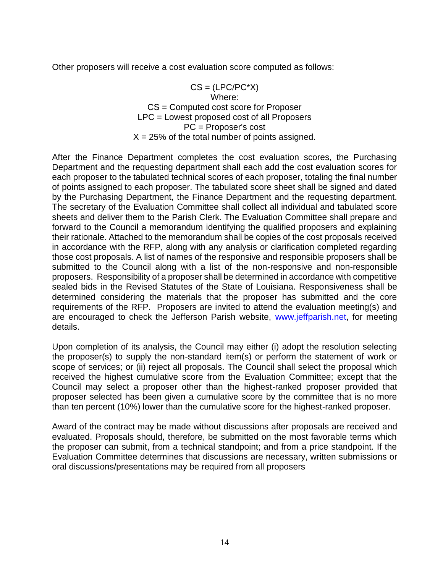Other proposers will receive a cost evaluation score computed as follows:

 $CS = (LPC/PC^*X)$ Where: CS = Computed cost score for Proposer LPC = Lowest proposed cost of all Proposers PC = Proposer's cost  $X = 25\%$  of the total number of points assigned.

After the Finance Department completes the cost evaluation scores, the Purchasing Department and the requesting department shall each add the cost evaluation scores for each proposer to the tabulated technical scores of each proposer, totaling the final number of points assigned to each proposer. The tabulated score sheet shall be signed and dated by the Purchasing Department, the Finance Department and the requesting department. The secretary of the Evaluation Committee shall collect all individual and tabulated score sheets and deliver them to the Parish Clerk. The Evaluation Committee shall prepare and forward to the Council a memorandum identifying the qualified proposers and explaining their rationale. Attached to the memorandum shall be copies of the cost proposals received in accordance with the RFP, along with any analysis or clarification completed regarding those cost proposals. A list of names of the responsive and responsible proposers shall be submitted to the Council along with a list of the non-responsive and non-responsible proposers. Responsibility of a proposer shall be determined in accordance with competitive sealed bids in the Revised Statutes of the State of Louisiana. Responsiveness shall be determined considering the materials that the proposer has submitted and the core requirements of the RFP. Proposers are invited to attend the evaluation meeting(s) and are encouraged to check the Jefferson Parish website, [www.jeffparish.net,](http://www.jeffparish.net/) for meeting details.

Upon completion of its analysis, the Council may either (i) adopt the resolution selecting the proposer(s) to supply the non-standard item(s) or perform the statement of work or scope of services; or (ii) reject all proposals. The Council shall select the proposal which received the highest cumulative score from the Evaluation Committee; except that the Council may select a proposer other than the highest-ranked proposer provided that proposer selected has been given a cumulative score by the committee that is no more than ten percent (10%) lower than the cumulative score for the highest-ranked proposer.

Award of the contract may be made without discussions after proposals are received and evaluated. Proposals should, therefore, be submitted on the most favorable terms which the proposer can submit, from a technical standpoint; and from a price standpoint. If the Evaluation Committee determines that discussions are necessary, written submissions or oral discussions/presentations may be required from all proposers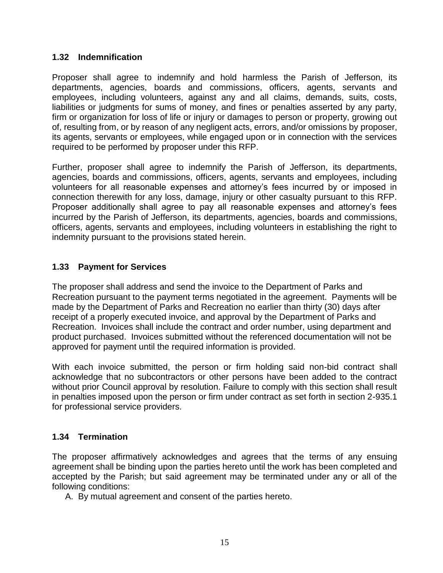#### <span id="page-14-0"></span>**1.32 Indemnification**

Proposer shall agree to indemnify and hold harmless the Parish of Jefferson, its departments, agencies, boards and commissions, officers, agents, servants and employees, including volunteers, against any and all claims, demands, suits, costs, liabilities or judgments for sums of money, and fines or penalties asserted by any party, firm or organization for loss of life or injury or damages to person or property, growing out of, resulting from, or by reason of any negligent acts, errors, and/or omissions by proposer, its agents, servants or employees, while engaged upon or in connection with the services required to be performed by proposer under this RFP.

Further, proposer shall agree to indemnify the Parish of Jefferson, its departments, agencies, boards and commissions, officers, agents, servants and employees, including volunteers for all reasonable expenses and attorney's fees incurred by or imposed in connection therewith for any loss, damage, injury or other casualty pursuant to this RFP. Proposer additionally shall agree to pay all reasonable expenses and attorney's fees incurred by the Parish of Jefferson, its departments, agencies, boards and commissions, officers, agents, servants and employees, including volunteers in establishing the right to indemnity pursuant to the provisions stated herein.

#### <span id="page-14-1"></span>**1.33 Payment for Services**

The proposer shall address and send the invoice to the Department of Parks and Recreation pursuant to the payment terms negotiated in the agreement. Payments will be made by the Department of Parks and Recreation no earlier than thirty (30) days after receipt of a properly executed invoice, and approval by the Department of Parks and Recreation. Invoices shall include the contract and order number, using department and product purchased. Invoices submitted without the referenced documentation will not be approved for payment until the required information is provided.

With each invoice submitted, the person or firm holding said non-bid contract shall acknowledge that no subcontractors or other persons have been added to the contract without prior Council approval by resolution. Failure to comply with this section shall result in penalties imposed upon the person or firm under contract as set forth in section 2-935.1 for professional service providers.

#### <span id="page-14-2"></span>**1.34 Termination**

The proposer affirmatively acknowledges and agrees that the terms of any ensuing agreement shall be binding upon the parties hereto until the work has been completed and accepted by the Parish; but said agreement may be terminated under any or all of the following conditions:

A. By mutual agreement and consent of the parties hereto.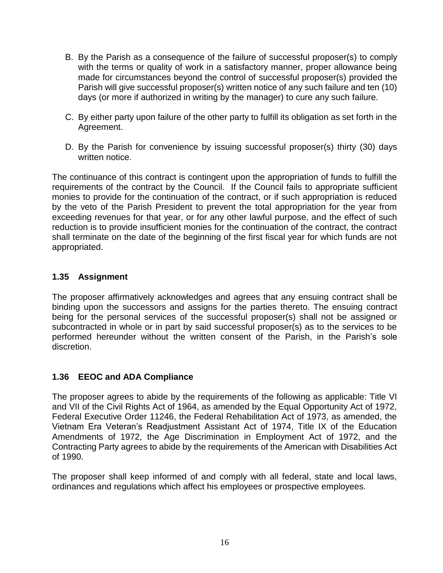- B. By the Parish as a consequence of the failure of successful proposer(s) to comply with the terms or quality of work in a satisfactory manner, proper allowance being made for circumstances beyond the control of successful proposer(s) provided the Parish will give successful proposer(s) written notice of any such failure and ten (10) days (or more if authorized in writing by the manager) to cure any such failure.
- C. By either party upon failure of the other party to fulfill its obligation as set forth in the Agreement.
- D. By the Parish for convenience by issuing successful proposer(s) thirty (30) days written notice.

The continuance of this contract is contingent upon the appropriation of funds to fulfill the requirements of the contract by the Council. If the Council fails to appropriate sufficient monies to provide for the continuation of the contract, or if such appropriation is reduced by the veto of the Parish President to prevent the total appropriation for the year from exceeding revenues for that year, or for any other lawful purpose, and the effect of such reduction is to provide insufficient monies for the continuation of the contract, the contract shall terminate on the date of the beginning of the first fiscal year for which funds are not appropriated.

#### <span id="page-15-0"></span>**1.35 Assignment**

The proposer affirmatively acknowledges and agrees that any ensuing contract shall be binding upon the successors and assigns for the parties thereto. The ensuing contract being for the personal services of the successful proposer(s) shall not be assigned or subcontracted in whole or in part by said successful proposer(s) as to the services to be performed hereunder without the written consent of the Parish, in the Parish's sole discretion.

#### <span id="page-15-1"></span>**1.36 EEOC and ADA Compliance**

The proposer agrees to abide by the requirements of the following as applicable: Title VI and VII of the Civil Rights Act of 1964, as amended by the Equal Opportunity Act of 1972, Federal Executive Order 11246, the Federal Rehabilitation Act of 1973, as amended, the Vietnam Era Veteran's Readjustment Assistant Act of 1974, Title IX of the Education Amendments of 1972, the Age Discrimination in Employment Act of 1972, and the Contracting Party agrees to abide by the requirements of the American with Disabilities Act of 1990.

The proposer shall keep informed of and comply with all federal, state and local laws, ordinances and regulations which affect his employees or prospective employees.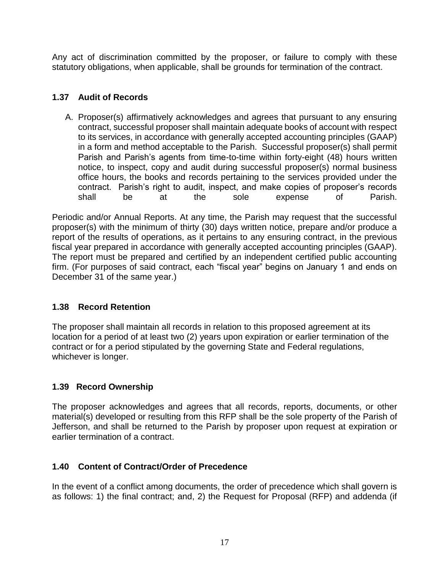Any act of discrimination committed by the proposer, or failure to comply with these statutory obligations, when applicable, shall be grounds for termination of the contract.

## <span id="page-16-0"></span>**1.37 Audit of Records**

A. Proposer(s) affirmatively acknowledges and agrees that pursuant to any ensuring contract, successful proposer shall maintain adequate books of account with respect to its services, in accordance with generally accepted accounting principles (GAAP) in a form and method acceptable to the Parish. Successful proposer(s) shall permit Parish and Parish's agents from time-to-time within forty-eight (48) hours written notice, to inspect, copy and audit during successful proposer(s) normal business office hours, the books and records pertaining to the services provided under the contract. Parish's right to audit, inspect, and make copies of proposer's records shall be at the sole expense of Parish.

Periodic and/or Annual Reports. At any time, the Parish may request that the successful proposer(s) with the minimum of thirty (30) days written notice, prepare and/or produce a report of the results of operations, as it pertains to any ensuring contract, in the previous fiscal year prepared in accordance with generally accepted accounting principles (GAAP). The report must be prepared and certified by an independent certified public accounting firm. (For purposes of said contract, each "fiscal year" begins on January 1 and ends on December 31 of the same year.)

#### <span id="page-16-1"></span>**1.38 Record Retention**

The proposer shall maintain all records in relation to this proposed agreement at its location for a period of at least two (2) years upon expiration or earlier termination of the contract or for a period stipulated by the governing State and Federal regulations, whichever is longer.

# <span id="page-16-2"></span>**1.39 Record Ownership**

The proposer acknowledges and agrees that all records, reports, documents, or other material(s) developed or resulting from this RFP shall be the sole property of the Parish of Jefferson, and shall be returned to the Parish by proposer upon request at expiration or earlier termination of a contract.

# <span id="page-16-3"></span>**1.40 Content of Contract/Order of Precedence**

In the event of a conflict among documents, the order of precedence which shall govern is as follows: 1) the final contract; and, 2) the Request for Proposal (RFP) and addenda (if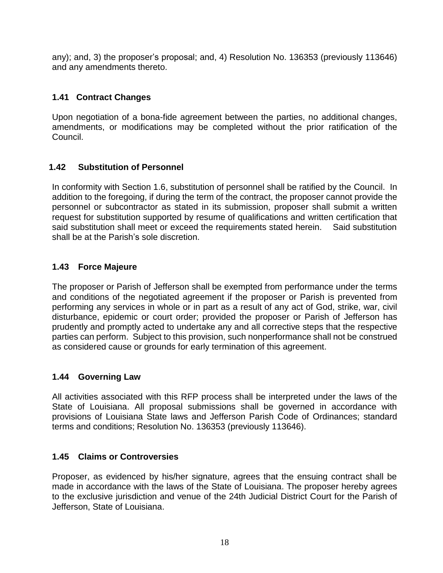any); and, 3) the proposer's proposal; and, 4) Resolution No. 136353 (previously 113646) and any amendments thereto.

## <span id="page-17-0"></span>**1.41 Contract Changes**

Upon negotiation of a bona-fide agreement between the parties, no additional changes, amendments, or modifications may be completed without the prior ratification of the Council.

## <span id="page-17-1"></span>**1.42 Substitution of Personnel**

In conformity with Section 1.6, substitution of personnel shall be ratified by the Council. In addition to the foregoing, if during the term of the contract, the proposer cannot provide the personnel or subcontractor as stated in its submission, proposer shall submit a written request for substitution supported by resume of qualifications and written certification that said substitution shall meet or exceed the requirements stated herein. Said substitution shall be at the Parish's sole discretion.

#### <span id="page-17-2"></span>**1.43 Force Majeure**

The proposer or Parish of Jefferson shall be exempted from performance under the terms and conditions of the negotiated agreement if the proposer or Parish is prevented from performing any services in whole or in part as a result of any act of God, strike, war, civil disturbance, epidemic or court order; provided the proposer or Parish of Jefferson has prudently and promptly acted to undertake any and all corrective steps that the respective parties can perform. Subject to this provision, such nonperformance shall not be construed as considered cause or grounds for early termination of this agreement.

#### <span id="page-17-3"></span>**1.44 Governing Law**

All activities associated with this RFP process shall be interpreted under the laws of the State of Louisiana. All proposal submissions shall be governed in accordance with provisions of Louisiana State laws and Jefferson Parish Code of Ordinances; standard terms and conditions; Resolution No. 136353 (previously 113646).

#### <span id="page-17-4"></span>**1.45 Claims or Controversies**

Proposer, as evidenced by his/her signature, agrees that the ensuing contract shall be made in accordance with the laws of the State of Louisiana. The proposer hereby agrees to the exclusive jurisdiction and venue of the 24th Judicial District Court for the Parish of Jefferson, State of Louisiana.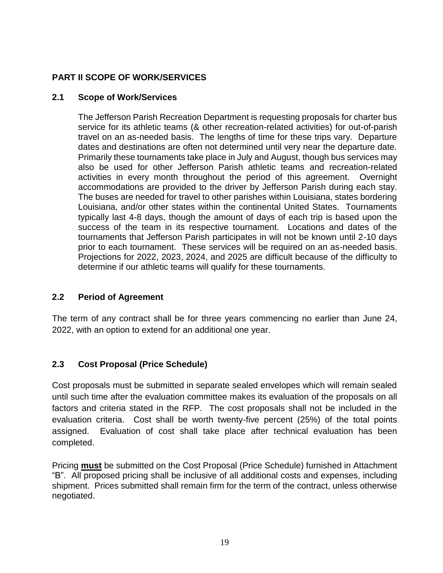# **PART II SCOPE OF WORK/SERVICES**

## <span id="page-18-0"></span>**2.1 Scope of Work/Services**

The Jefferson Parish Recreation Department is requesting proposals for charter bus service for its athletic teams (& other recreation-related activities) for out-of-parish travel on an as-needed basis. The lengths of time for these trips vary. Departure dates and destinations are often not determined until very near the departure date. Primarily these tournaments take place in July and August, though bus services may also be used for other Jefferson Parish athletic teams and recreation-related activities in every month throughout the period of this agreement. Overnight accommodations are provided to the driver by Jefferson Parish during each stay. The buses are needed for travel to other parishes within Louisiana, states bordering Louisiana, and/or other states within the continental United States. Tournaments typically last 4-8 days, though the amount of days of each trip is based upon the success of the team in its respective tournament. Locations and dates of the tournaments that Jefferson Parish participates in will not be known until 2-10 days prior to each tournament. These services will be required on an as-needed basis. Projections for 2022, 2023, 2024, and 2025 are difficult because of the difficulty to determine if our athletic teams will qualify for these tournaments.

# <span id="page-18-1"></span>**2.2 Period of Agreement**

The term of any contract shall be for three years commencing no earlier than June 24, 2022, with an option to extend for an additional one year.

# <span id="page-18-2"></span>**2.3 Cost Proposal (Price Schedule)**

Cost proposals must be submitted in separate sealed envelopes which will remain sealed until such time after the evaluation committee makes its evaluation of the proposals on all factors and criteria stated in the RFP. The cost proposals shall not be included in the evaluation criteria. Cost shall be worth twenty-five percent (25%) of the total points assigned. Evaluation of cost shall take place after technical evaluation has been completed.

Pricing **must** be submitted on the Cost Proposal (Price Schedule) furnished in Attachment "B". All proposed pricing shall be inclusive of all additional costs and expenses, including shipment. Prices submitted shall remain firm for the term of the contract, unless otherwise negotiated.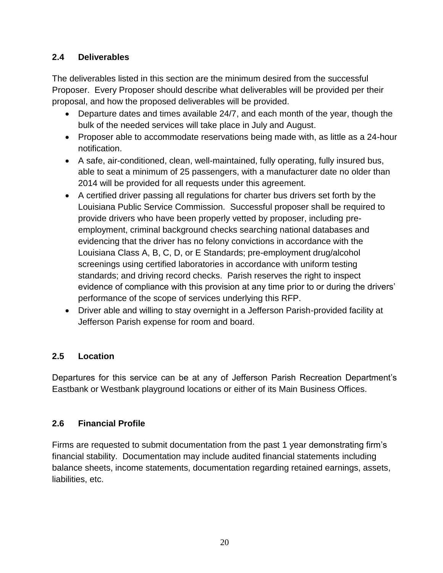# <span id="page-19-0"></span>**2.4 Deliverables**

The deliverables listed in this section are the minimum desired from the successful Proposer. Every Proposer should describe what deliverables will be provided per their proposal, and how the proposed deliverables will be provided.

- Departure dates and times available 24/7, and each month of the year, though the bulk of the needed services will take place in July and August.
- Proposer able to accommodate reservations being made with, as little as a 24-hour notification.
- A safe, air-conditioned, clean, well-maintained, fully operating, fully insured bus, able to seat a minimum of 25 passengers, with a manufacturer date no older than 2014 will be provided for all requests under this agreement.
- A certified driver passing all regulations for charter bus drivers set forth by the Louisiana Public Service Commission. Successful proposer shall be required to provide drivers who have been properly vetted by proposer, including preemployment, criminal background checks searching national databases and evidencing that the driver has no felony convictions in accordance with the Louisiana Class A, B, C, D, or E Standards; pre-employment drug/alcohol screenings using certified laboratories in accordance with uniform testing standards; and driving record checks. Parish reserves the right to inspect evidence of compliance with this provision at any time prior to or during the drivers' performance of the scope of services underlying this RFP.
- Driver able and willing to stay overnight in a Jefferson Parish-provided facility at Jefferson Parish expense for room and board.

# <span id="page-19-1"></span>**2.5 Location**

Departures for this service can be at any of Jefferson Parish Recreation Department's Eastbank or Westbank playground locations or either of its Main Business Offices.

# <span id="page-19-2"></span>**2.6 Financial Profile**

Firms are requested to submit documentation from the past 1 year demonstrating firm's financial stability. Documentation may include audited financial statements including balance sheets, income statements, documentation regarding retained earnings, assets, liabilities, etc.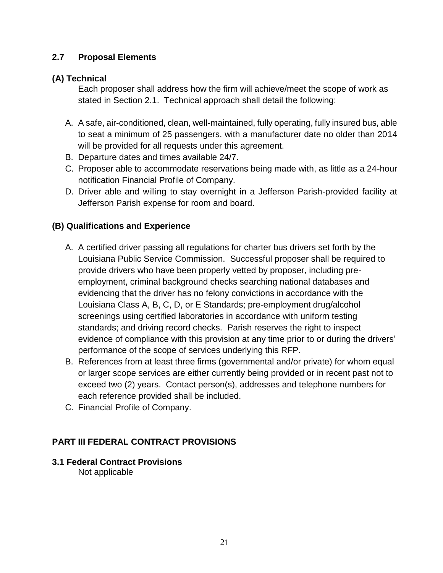## <span id="page-20-0"></span>**2.7 Proposal Elements**

#### <span id="page-20-1"></span>**(A) Technical**

Each proposer shall address how the firm will achieve/meet the scope of work as stated in Section 2.1. Technical approach shall detail the following:

- A. A safe, air-conditioned, clean, well-maintained, fully operating, fully insured bus, able to seat a minimum of 25 passengers, with a manufacturer date no older than 2014 will be provided for all requests under this agreement.
- B. Departure dates and times available 24/7.
- C. Proposer able to accommodate reservations being made with, as little as a 24-hour notification Financial Profile of Company.
- D. Driver able and willing to stay overnight in a Jefferson Parish-provided facility at Jefferson Parish expense for room and board.

# <span id="page-20-2"></span>**(B) Qualifications and Experience**

- A. A certified driver passing all regulations for charter bus drivers set forth by the Louisiana Public Service Commission. Successful proposer shall be required to provide drivers who have been properly vetted by proposer, including preemployment, criminal background checks searching national databases and evidencing that the driver has no felony convictions in accordance with the Louisiana Class A, B, C, D, or E Standards; pre-employment drug/alcohol screenings using certified laboratories in accordance with uniform testing standards; and driving record checks. Parish reserves the right to inspect evidence of compliance with this provision at any time prior to or during the drivers' performance of the scope of services underlying this RFP.
- B. References from at least three firms (governmental and/or private) for whom equal or larger scope services are either currently being provided or in recent past not to exceed two (2) years. Contact person(s), addresses and telephone numbers for each reference provided shall be included.
- C. Financial Profile of Company.

#### <span id="page-20-3"></span>**PART III FEDERAL CONTRACT PROVISIONS**

#### <span id="page-20-4"></span>**3.1 Federal Contract Provisions** Not applicable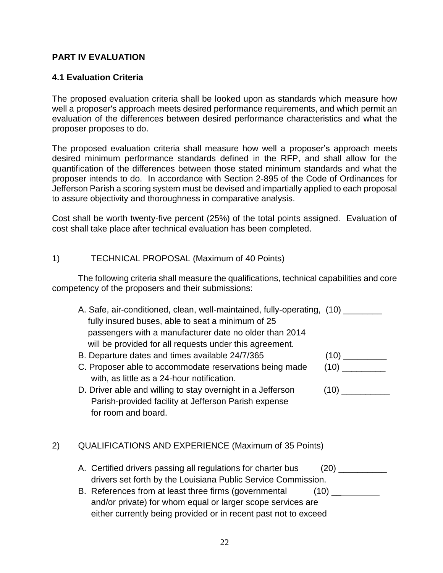#### <span id="page-21-0"></span>**PART IV EVALUATION**

#### <span id="page-21-1"></span>**4.1 Evaluation Criteria**

The proposed evaluation criteria shall be looked upon as standards which measure how well a proposer's approach meets desired performance requirements, and which permit an evaluation of the differences between desired performance characteristics and what the proposer proposes to do.

The proposed evaluation criteria shall measure how well a proposer's approach meets desired minimum performance standards defined in the RFP, and shall allow for the quantification of the differences between those stated minimum standards and what the proposer intends to do. In accordance with Section 2-895 of the Code of Ordinances for Jefferson Parish a scoring system must be devised and impartially applied to each proposal to assure objectivity and thoroughness in comparative analysis.

Cost shall be worth twenty-five percent (25%) of the total points assigned. Evaluation of cost shall take place after technical evaluation has been completed.

#### 1) TECHNICAL PROPOSAL (Maximum of 40 Points)

The following criteria shall measure the qualifications, technical capabilities and core competency of the proposers and their submissions:

- A. Safe, air-conditioned, clean, well-maintained, fully-operating, (10) fully insured buses, able to seat a minimum of 25 passengers with a manufacturer date no older than 2014 will be provided for all requests under this agreement.
- B. Departure dates and times available 24/7/365 (10)
- C. Proposer able to accommodate reservations being made (10) with, as little as a 24-hour notification.
- D. Driver able and willing to stay overnight in a Jefferson (10) \_\_\_\_\_\_\_\_\_ Parish-provided facility at Jefferson Parish expense for room and board.

#### 2) QUALIFICATIONS AND EXPERIENCE (Maximum of 35 Points)

- A. Certified drivers passing all regulations for charter bus (20) \_\_\_\_\_\_\_\_\_ drivers set forth by the Louisiana Public Service Commission.
- B. References from at least three firms (governmental (10) \_\_\_\_\_\_\_\_\_\_ and/or private) for whom equal or larger scope services are either currently being provided or in recent past not to exceed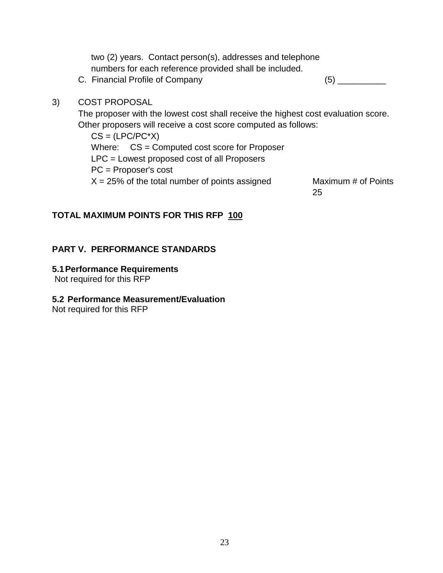|    | two (2) years. Contact person(s), addresses and telephone<br>numbers for each reference provided shall be included. |
|----|---------------------------------------------------------------------------------------------------------------------|
|    | C. Financial Profile of Company<br>(5)                                                                              |
| 3) | <b>COST PROPOSAL</b>                                                                                                |
|    | The proposer with the lowest cost shall receive the highest cost evaluation score.                                  |
|    | Other proposers will receive a cost score computed as follows:                                                      |
|    | $CS = (LPC/PC^*X)$                                                                                                  |
|    | Where: CS = Computed cost score for Proposer                                                                        |
|    | $LPC =$ Lowest proposed cost of all Proposers                                                                       |
|    | $PC =$ Proposer's cost                                                                                              |

 $X = 25\%$  of the total number of points assigned Maximum # of Points

25

#### **TOTAL MAXIMUM POINTS FOR THIS RFP 100**

#### <span id="page-22-0"></span>**PART V. PERFORMANCE STANDARDS**

## <span id="page-22-1"></span>**5.1Performance Requirements**

Not required for this RFP

#### <span id="page-22-2"></span>**5.2 Performance Measurement/Evaluation**

Not required for this RFP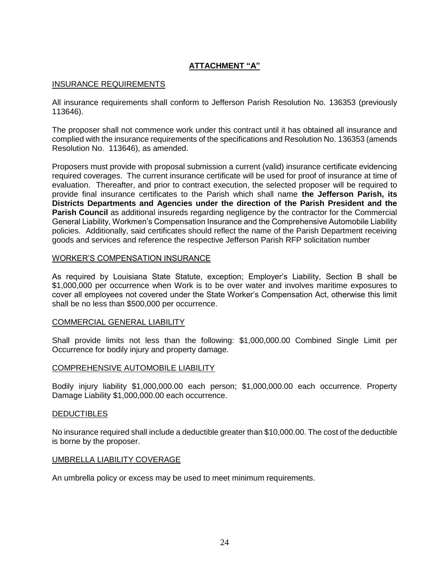#### **ATTACHMENT "A"**

#### INSURANCE REQUIREMENTS

All insurance requirements shall conform to Jefferson Parish Resolution No. 136353 (previously 113646).

The proposer shall not commence work under this contract until it has obtained all insurance and complied with the insurance requirements of the specifications and Resolution No. 136353 (amends Resolution No. 113646), as amended.

Proposers must provide with proposal submission a current (valid) insurance certificate evidencing required coverages. The current insurance certificate will be used for proof of insurance at time of evaluation. Thereafter, and prior to contract execution, the selected proposer will be required to provide final insurance certificates to the Parish which shall name **the Jefferson Parish, its Districts Departments and Agencies under the direction of the Parish President and the Parish Council** as additional insureds regarding negligence by the contractor for the Commercial General Liability, Workmen's Compensation Insurance and the Comprehensive Automobile Liability policies. Additionally, said certificates should reflect the name of the Parish Department receiving goods and services and reference the respective Jefferson Parish RFP solicitation number

#### WORKER'S COMPENSATION INSURANCE

As required by Louisiana State Statute, exception; Employer's Liability, Section B shall be \$1,000,000 per occurrence when Work is to be over water and involves maritime exposures to cover all employees not covered under the State Worker's Compensation Act, otherwise this limit shall be no less than \$500,000 per occurrence.

#### COMMERCIAL GENERAL LIABILITY

Shall provide limits not less than the following: \$1,000,000.00 Combined Single Limit per Occurrence for bodily injury and property damage.

#### COMPREHENSIVE AUTOMOBILE LIABILITY

Bodily injury liability \$1,000,000.00 each person; \$1,000,000.00 each occurrence. Property Damage Liability \$1,000,000.00 each occurrence.

#### **DEDUCTIBLES**

No insurance required shall include a deductible greater than \$10,000.00. The cost of the deductible is borne by the proposer.

#### UMBRELLA LIABILITY COVERAGE

An umbrella policy or excess may be used to meet minimum requirements.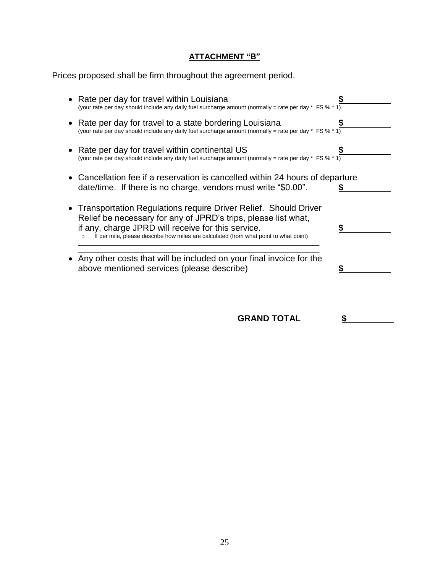## **ATTACHMENT "B"**

Prices proposed shall be firm throughout the agreement period.

| Rate per day for travel within Louisiana<br>(your rate per day should include any daily fuel surcharge amount (normally = rate per day * FS % * 1)                                                                                                                                 |  |
|------------------------------------------------------------------------------------------------------------------------------------------------------------------------------------------------------------------------------------------------------------------------------------|--|
| Rate per day for travel to a state bordering Louisiana<br>(your rate per day should include any daily fuel surcharge amount (normally = rate per day * FS % * 1)                                                                                                                   |  |
| Rate per day for travel within continental US<br>(your rate per day should include any daily fuel surcharge amount (normally = rate per day $*$ FS % $*1$ )                                                                                                                        |  |
| Cancellation fee if a reservation is cancelled within 24 hours of departure<br>date/time. If there is no charge, vendors must write "\$0.00".                                                                                                                                      |  |
| • Transportation Regulations require Driver Relief. Should Driver<br>Relief be necessary for any of JPRD's trips, please list what,<br>if any, charge JPRD will receive for this service.<br>If per mile, please describe how miles are calculated (from what point to what point) |  |
| Any other costs that will be included on your final invoice for the<br>above mentioned services (please describe)                                                                                                                                                                  |  |
|                                                                                                                                                                                                                                                                                    |  |

**GRAND TOTAL \$**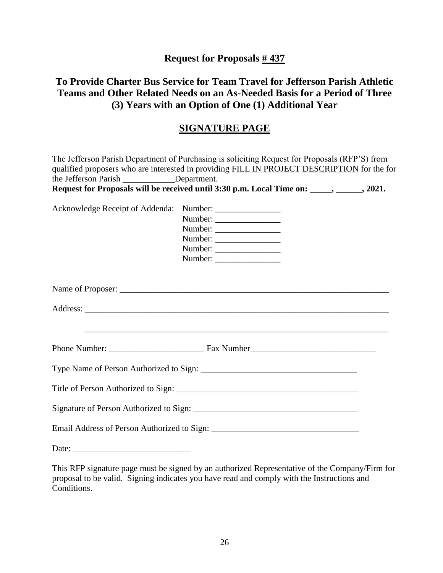**Request for Proposals # 437**

# **To Provide Charter Bus Service for Team Travel for Jefferson Parish Athletic Teams and Other Related Needs on an As-Needed Basis for a Period of Three (3) Years with an Option of One (1) Additional Year**

# **SIGNATURE PAGE**

| the Jefferson Parish ____________Department. | The Jefferson Parish Department of Purchasing is soliciting Request for Proposals (RFP'S) from<br>qualified proposers who are interested in providing FILL IN PROJECT DESCRIPTION for the for<br>Request for Proposals will be received until 3:30 p.m. Local Time on: _____, ______, 2021. |
|----------------------------------------------|---------------------------------------------------------------------------------------------------------------------------------------------------------------------------------------------------------------------------------------------------------------------------------------------|
| Acknowledge Receipt of Addenda:              | Number:<br>Number:                                                                                                                                                                                                                                                                          |
|                                              |                                                                                                                                                                                                                                                                                             |
|                                              |                                                                                                                                                                                                                                                                                             |
|                                              |                                                                                                                                                                                                                                                                                             |
|                                              |                                                                                                                                                                                                                                                                                             |
|                                              |                                                                                                                                                                                                                                                                                             |
|                                              |                                                                                                                                                                                                                                                                                             |
|                                              |                                                                                                                                                                                                                                                                                             |
| Date: $\frac{1}{2}$                          |                                                                                                                                                                                                                                                                                             |

This RFP signature page must be signed by an authorized Representative of the Company/Firm for proposal to be valid. Signing indicates you have read and comply with the Instructions and Conditions.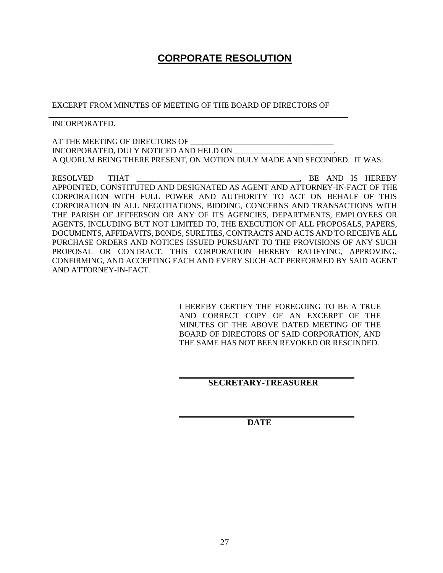# **CORPORATE RESOLUTION**

EXCERPT FROM MINUTES OF MEETING OF THE BOARD OF DIRECTORS OF

INCORPORATED.

AT THE MEETING OF DIRECTORS OF INCORPORATED, DULY NOTICED AND HELD ON A QUORUM BEING THERE PRESENT, ON MOTION DULY MADE AND SECONDED. IT WAS:

RESOLVED THAT \_\_\_\_\_\_\_\_\_\_\_\_\_\_\_\_\_\_\_\_\_\_\_\_\_\_\_\_\_\_\_\_\_\_\_\_\_\_\_\_\_, BE AND IS HEREBY APPOINTED, CONSTITUTED AND DESIGNATED AS AGENT AND ATTORNEY-IN-FACT OF THE CORPORATION WITH FULL POWER AND AUTHORITY TO ACT ON BEHALF OF THIS CORPORATION IN ALL NEGOTIATIONS, BIDDING, CONCERNS AND TRANSACTIONS WITH THE PARISH OF JEFFERSON OR ANY OF ITS AGENCIES, DEPARTMENTS, EMPLOYEES OR AGENTS, INCLUDING BUT NOT LIMITED TO, THE EXECUTION OF ALL PROPOSALS, PAPERS, DOCUMENTS, AFFIDAVITS, BONDS, SURETIES, CONTRACTS AND ACTS AND TO RECEIVE ALL PURCHASE ORDERS AND NOTICES ISSUED PURSUANT TO THE PROVISIONS OF ANY SUCH PROPOSAL OR CONTRACT, THIS CORPORATION HEREBY RATIFYING, APPROVING, CONFIRMING, AND ACCEPTING EACH AND EVERY SUCH ACT PERFORMED BY SAID AGENT AND ATTORNEY-IN-FACT.

> I HEREBY CERTIFY THE FOREGOING TO BE A TRUE AND CORRECT COPY OF AN EXCERPT OF THE MINUTES OF THE ABOVE DATED MEETING OF THE BOARD OF DIRECTORS OF SAID CORPORATION, AND THE SAME HAS NOT BEEN REVOKED OR RESCINDED.

#### **SECRETARY-TREASURER**

 **DATE**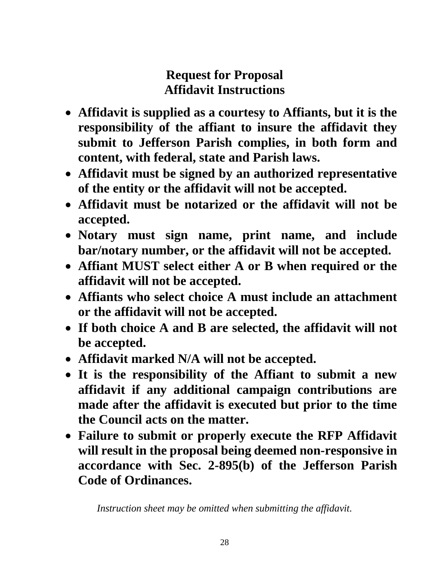# **Request for Proposal Affidavit Instructions**

- **Affidavit is supplied as a courtesy to Affiants, but it is the responsibility of the affiant to insure the affidavit they submit to Jefferson Parish complies, in both form and content, with federal, state and Parish laws.**
- **Affidavit must be signed by an authorized representative of the entity or the affidavit will not be accepted.**
- **Affidavit must be notarized or the affidavit will not be accepted.**
- **Notary must sign name, print name, and include bar/notary number, or the affidavit will not be accepted.**
- **Affiant MUST select either A or B when required or the affidavit will not be accepted.**
- **Affiants who select choice A must include an attachment or the affidavit will not be accepted.**
- **If both choice A and B are selected, the affidavit will not be accepted.**
- **Affidavit marked N/A will not be accepted.**
- **It is the responsibility of the Affiant to submit a new affidavit if any additional campaign contributions are made after the affidavit is executed but prior to the time the Council acts on the matter.**
- **Failure to submit or properly execute the RFP Affidavit will result in the proposal being deemed non-responsive in accordance with Sec. 2-895(b) of the Jefferson Parish Code of Ordinances.**

*Instruction sheet may be omitted when submitting the affidavit.*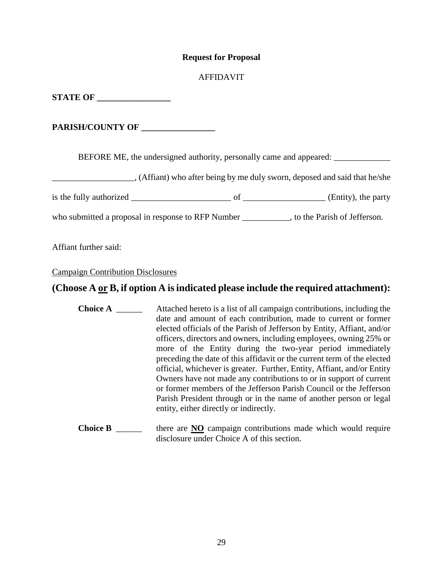#### **Request for Proposal**

#### AFFIDAVIT

**STATE OF \_\_\_\_\_\_\_\_\_\_\_\_\_\_\_\_\_\_** 

**PARISH/COUNTY OF \_\_\_\_\_\_\_\_\_\_\_\_\_\_\_\_\_**

BEFORE ME, the undersigned authority, personally came and appeared: \_\_\_\_\_\_\_\_\_\_\_\_

(Affiant) who after being by me duly sworn, deposed and said that he/she

is the fully authorized  $\frac{1}{\sqrt{1-\frac{1}{2}}\sqrt{1-\frac{1}{2}}\sqrt{1-\frac{1}{2}}\sqrt{1-\frac{1}{2}}\sqrt{1-\frac{1}{2}}\sqrt{1-\frac{1}{2}}\sqrt{1-\frac{1}{2}}\sqrt{1-\frac{1}{2}}\sqrt{1-\frac{1}{2}}\sqrt{1-\frac{1}{2}}\sqrt{1-\frac{1}{2}}\sqrt{1-\frac{1}{2}}\sqrt{1-\frac{1}{2}}\sqrt{1-\frac{1}{2}}\sqrt{1-\frac{1}{2}}\sqrt{1-\frac{1}{2}}\sqrt{1-\frac{1}{2}}\sqrt{1$ 

who submitted a proposal in response to RFP Number \_\_\_\_\_\_\_\_\_\_, to the Parish of Jefferson.

Affiant further said:

Campaign Contribution Disclosures

# **(Choose A or B, if option A is indicated please include the required attachment):**

- **Choice A Attached hereto is a list of all campaign contributions, including the** date and amount of each contribution, made to current or former elected officials of the Parish of Jefferson by Entity, Affiant, and/or officers, directors and owners, including employees, owning 25% or more of the Entity during the two-year period immediately preceding the date of this affidavit or the current term of the elected official, whichever is greater. Further, Entity, Affiant, and/or Entity Owners have not made any contributions to or in support of current or former members of the Jefferson Parish Council or the Jefferson Parish President through or in the name of another person or legal entity, either directly or indirectly.
- **Choice B** \_\_\_\_\_\_ there are **NO** campaign contributions made which would require disclosure under Choice A of this section.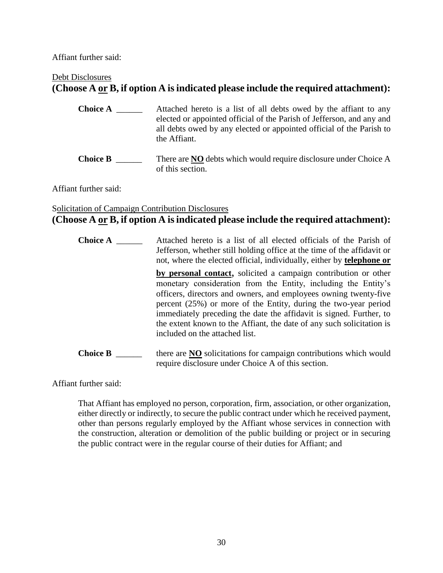Affiant further said:

#### Debt Disclosures

# **(Choose A or B, if option A is indicated please include the required attachment):**

- **Choice A** \_\_\_\_\_\_\_\_\_ Attached hereto is a list of all debts owed by the affiant to any elected or appointed official of the Parish of Jefferson, and any and all debts owed by any elected or appointed official of the Parish to the Affiant.
- **Choice B** \_\_\_\_\_\_ There are **NO** debts which would require disclosure under Choice A of this section.

Affiant further said:

## Solicitation of Campaign Contribution Disclosures **(Choose A or B, if option A is indicated please include the required attachment):**

**Choice A** \_\_\_\_\_\_ Attached hereto is a list of all elected officials of the Parish of Jefferson, whether still holding office at the time of the affidavit or not, where the elected official, individually, either by **telephone or by personal contact**, solicited a campaign contribution or other monetary consideration from the Entity, including the Entity's officers, directors and owners, and employees owning twenty-five percent (25%) or more of the Entity, during the two-year period immediately preceding the date the affidavit is signed. Further, to the extent known to the Affiant, the date of any such solicitation is included on the attached list. **Choice B** \_\_\_\_\_\_\_ there are **NO** solicitations for campaign contributions which would require disclosure under Choice A of this section.

Affiant further said:

That Affiant has employed no person, corporation, firm, association, or other organization, either directly or indirectly, to secure the public contract under which he received payment, other than persons regularly employed by the Affiant whose services in connection with the construction, alteration or demolition of the public building or project or in securing the public contract were in the regular course of their duties for Affiant; and